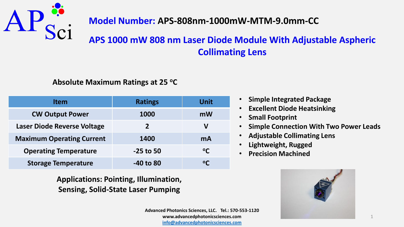

# **APS 1000 mW 808 nm Laser Diode Module With Adjustable Aspheric Collimating Lens**

#### **Absolute Maximum Ratings at 25 <sup>o</sup>C**

| <b>Item</b>                      | <b>Ratings</b> | <b>Unit</b>  |
|----------------------------------|----------------|--------------|
| <b>CW Output Power</b>           | 1000           | mW           |
| Laser Diode Reverse Voltage      | $\overline{2}$ | V            |
| <b>Maximum Operating Current</b> | 1400           | mA           |
| <b>Operating Temperature</b>     | $-25$ to 50    | $^{\circ}$ C |
| <b>Storage Temperature</b>       | $-40$ to 80    |              |

**Applications: Pointing, Illumination, Sensing, Solid-State Laser Pumping**

- **Simple Integrated Package**
- **Excellent Diode Heatsinking**
- **Small Footprint**
- **Simple Connection With Two Power Leads**
- **Adjustable Collimating Lens**
- **Lightweight, Rugged**
- **Precision Machined**

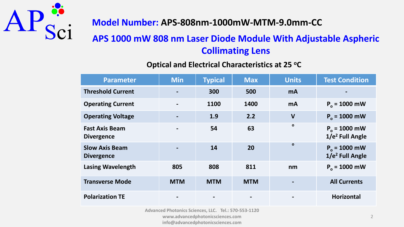

# **APS 1000 mW 808 nm Laser Diode Module With Adjustable Aspheric Collimating Lens**

#### **Optical and Electrical Characteristics at 25 <sup>o</sup>C**

| <b>Parameter</b>                           | <b>Min</b>               | <b>Typical</b> | <b>Max</b> | <b>Units</b> | <b>Test Condition</b>                          |
|--------------------------------------------|--------------------------|----------------|------------|--------------|------------------------------------------------|
| <b>Threshold Current</b>                   | $\overline{\phantom{0}}$ | 300            | 500        | <b>mA</b>    |                                                |
| <b>Operating Current</b>                   | $\blacksquare$           | 1100           | 1400       | <b>mA</b>    | $P_{0} = 1000$ mW                              |
| <b>Operating Voltage</b>                   |                          | 1.9            | 2.2        | $\mathbf v$  | $P_0 = 1000$ mW                                |
| <b>Fast Axis Beam</b><br><b>Divergence</b> | $\blacksquare$           | 54             | 63         | $\mathbf{o}$ | $P_0 = 1000$ mW<br>$1/e2$ Full Angle           |
| <b>Slow Axis Beam</b><br><b>Divergence</b> |                          | 14             | <b>20</b>  | $\Omega$     | $P_0 = 1000$ mW<br>1/e <sup>2</sup> Full Angle |
| <b>Lasing Wavelength</b>                   | 805                      | 808            | 811        | nm           | $P_{0} = 1000$ mW                              |
| <b>Transverse Mode</b>                     | <b>MTM</b>               | <b>MTM</b>     | <b>MTM</b> |              | <b>All Currents</b>                            |
| <b>Polarization TE</b>                     |                          |                |            |              | <b>Horizontal</b>                              |

**Advanced Photonics Sciences, LLC. Tel.: 570-553-1120 www.advancedphotonicsciences.com** 

**info@advancedphotonicsciences.com**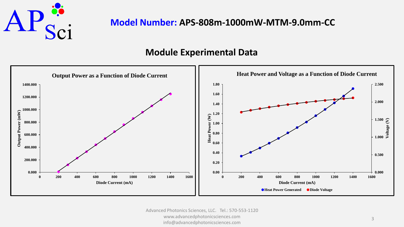

### **Module Experimental Data**

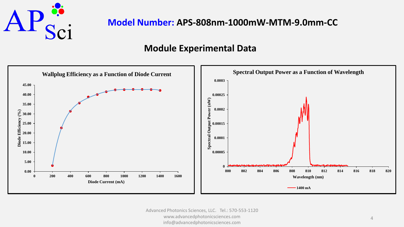

### **Module Experimental Data**

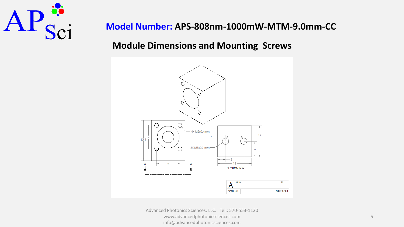

### **Module Dimensions and Mounting Screws**



Advanced Photonics Sciences, LLC. Tel.: 570-553-1120 www.advancedphotonicsciences.com info@advancedphotonicsciences.com